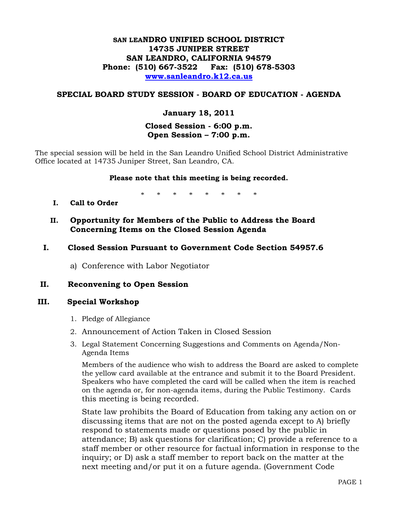# **SAN LEANDRO UNIFIED SCHOOL DISTRICT 14735 JUNIPER STREET SAN LEANDRO, CALIFORNIA 94579 Phone: (510) 667-3522 Fax: (510) 678-5303 [www.sanleandro.k12.ca.us](http://www.sanleandro.k12.ca.us/)**

# **SPECIAL BOARD STUDY SESSION - BOARD OF EDUCATION - AGENDA**

# **January 18, 2011**

# **Closed Session - 6:00 p.m. Open Session – 7:00 p.m.**

The special session will be held in the San Leandro Unified School District Administrative Office located at 14735 Juniper Street, San Leandro, CA.

#### **Please note that this meeting is being recorded.**

\* \* \* \* \* \* \* \*

- **I. Call to Order**
- **II. Opportunity for Members of the Public to Address the Board Concerning Items on the Closed Session Agenda**
- **I. Closed Session Pursuant to Government Code Section 54957.6** 
	- a) Conference with Labor Negotiator

## **II. Reconvening to Open Session**

#### **III. Special Workshop**

- 1. Pledge of Allegiance
- 2. Announcement of Action Taken in Closed Session
- 3. Legal Statement Concerning Suggestions and Comments on Agenda/Non-Agenda Items

 Members of the audience who wish to address the Board are asked to complete the yellow card available at the entrance and submit it to the Board President. Speakers who have completed the card will be called when the item is reached on the agenda or, for non-agenda items, during the Public Testimony. Cards this meeting is being recorded.

 State law prohibits the Board of Education from taking any action on or discussing items that are not on the posted agenda except to A) briefly respond to statements made or questions posed by the public in attendance; B) ask questions for clarification; C) provide a reference to a staff member or other resource for factual information in response to the inquiry; or D) ask a staff member to report back on the matter at the next meeting and/or put it on a future agenda. (Government Code